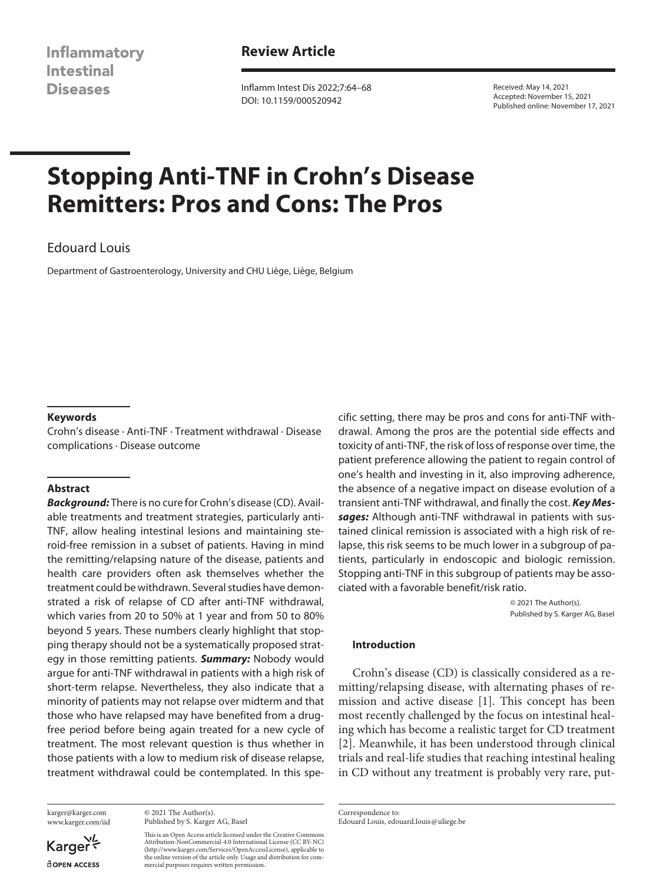**Inflammatory Intestinal Diseases** 

# **Review Article**

Inflamm Intest Dis 2022;7:64–68 DOI: 10.1159/000520942

Received: May 14, 2021 Accepted: November 15, 2021 Published online: November 17, 2021

# **Stopping Anti-TNF in Crohn's Disease Remitters: Pros and Cons: The Pros**

# Edouard Louis

Department of Gastroenterology, University and CHU Liège, Liège, Belgium

## **Keywords**

Crohn's disease · Anti-TNF · Treatment withdrawal · Disease complications · Disease outcome

#### **Abstract**

*Background:* There is no cure for Crohn's disease (CD). Available treatments and treatment strategies, particularly anti-TNF, allow healing intestinal lesions and maintaining steroid-free remission in a subset of patients. Having in mind the remitting/relapsing nature of the disease, patients and health care providers often ask themselves whether the treatment could be withdrawn. Several studies have demonstrated a risk of relapse of CD after anti-TNF withdrawal, which varies from 20 to 50% at 1 year and from 50 to 80% beyond 5 years. These numbers clearly highlight that stopping therapy should not be a systematically proposed strategy in those remitting patients. *Summary:* Nobody would argue for anti-TNF withdrawal in patients with a high risk of short-term relapse. Nevertheless, they also indicate that a minority of patients may not relapse over midterm and that those who have relapsed may have benefited from a drugfree period before being again treated for a new cycle of treatment. The most relevant question is thus whether in those patients with a low to medium risk of disease relapse, treatment withdrawal could be contemplated. In this spe-

karger@karger.com www.karger.com/iid

© 2021 The Author(s). Published by S. Karger AG, Basel

This is an Open Access article licensed under the Creative Commons Attribution-NonCommercial-4.0 International License (CC BY-NC) (http://www.karger.com/Services/OpenAccessLicense), applicable to the online version of the article only. Usage and distribution for commercial purposes requires written permission.

cific setting, there may be pros and cons for anti-TNF withdrawal. Among the pros are the potential side effects and toxicity of anti-TNF, the risk of loss of response over time, the patient preference allowing the patient to regain control of one's health and investing in it, also improving adherence, the absence of a negative impact on disease evolution of a transient anti-TNF withdrawal, and finally the cost. *Key Messages:* Although anti-TNF withdrawal in patients with sustained clinical remission is associated with a high risk of relapse, this risk seems to be much lower in a subgroup of patients, particularly in endoscopic and biologic remission. Stopping anti-TNF in this subgroup of patients may be associated with a favorable benefit/risk ratio.

> © 2021 The Author(s). Published by S. Karger AG, Basel

#### **Introduction**

<span id="page-0-1"></span><span id="page-0-0"></span>Crohn's disease (CD) is classically considered as a remitting/relapsing disease, with alternating phases of remission and active disease [\[1\]](#page-3-0). This concept has been most recently challenged by the focus on intestinal healing which has become a realistic target for CD treatment [[2](#page-3-1)]. Meanwhile, it has been understood through clinical trials and real-life studies that reaching intestinal healing in CD without any treatment is probably very rare, put-

Correspondence to: Edouard Louis, edouard.louis@uliege.be

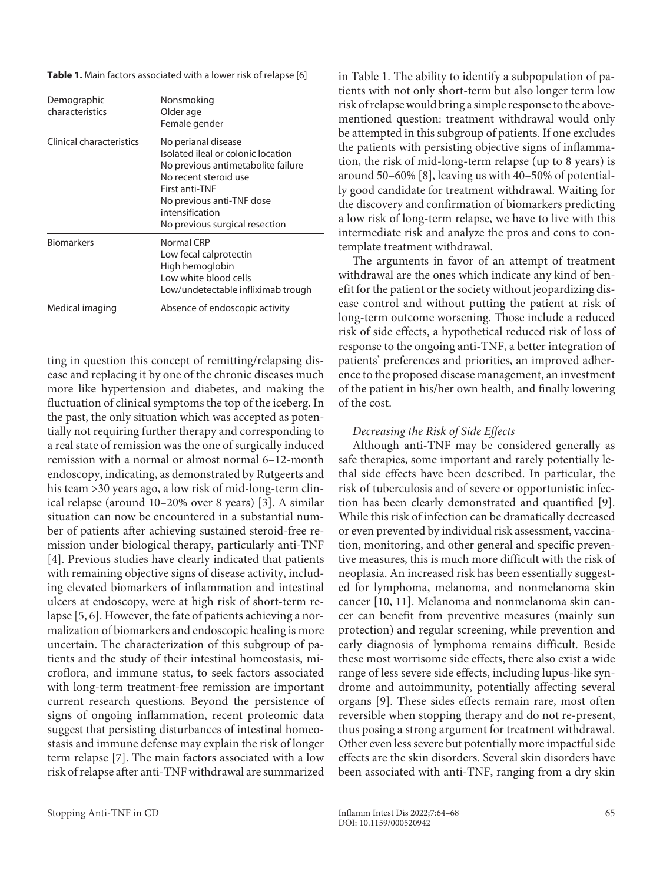**Table 1.** Main factors associated with a lower risk of relapse [6]

| Demographic<br>characteristics | Nonsmoking<br>Older age<br>Female gender                                                                                                                                                                                     |
|--------------------------------|------------------------------------------------------------------------------------------------------------------------------------------------------------------------------------------------------------------------------|
| Clinical characteristics       | No perianal disease<br>Isolated ileal or colonic location<br>No previous antimetabolite failure<br>No recent steroid use<br>First anti-TNF<br>No previous anti-TNF dose<br>intensification<br>No previous surgical resection |
| <b>Biomarkers</b>              | Normal CRP<br>Low fecal calprotectin<br>High hemoglobin<br>Low white blood cells<br>Low/undetectable infliximab trough                                                                                                       |
| Medical imaging                | Absence of endoscopic activity                                                                                                                                                                                               |

<span id="page-1-3"></span><span id="page-1-2"></span><span id="page-1-1"></span><span id="page-1-0"></span>ting in question this concept of remitting/relapsing disease and replacing it by one of the chronic diseases much more like hypertension and diabetes, and making the fluctuation of clinical symptoms the top of the iceberg. In the past, the only situation which was accepted as potentially not requiring further therapy and corresponding to a real state of remission was the one of surgically induced remission with a normal or almost normal 6–12-month endoscopy, indicating, as demonstrated by Rutgeerts and his team >30 years ago, a low risk of mid-long-term clinical relapse (around 10–20% over 8 years) [[3\]](#page-3-2). A similar situation can now be encountered in a substantial number of patients after achieving sustained steroid-free remission under biological therapy, particularly anti-TNF [\[4\]](#page-3-3). Previous studies have clearly indicated that patients with remaining objective signs of disease activity, including elevated biomarkers of inflammation and intestinal ulcers at endoscopy, were at high risk of short-term relapse [\[5,](#page-3-4) [6\]](#page-3-5). However, the fate of patients achieving a normalization of biomarkers and endoscopic healing is more uncertain. The characterization of this subgroup of patients and the study of their intestinal homeostasis, microflora, and immune status, to seek factors associated with long-term treatment-free remission are important current research questions. Beyond the persistence of signs of ongoing inflammation, recent proteomic data suggest that persisting disturbances of intestinal homeostasis and immune defense may explain the risk of longer term relapse [\[7](#page-3-6)]. The main factors associated with a low risk of relapse after anti-TNF withdrawal are summarized

<span id="page-1-4"></span>The arguments in favor of an attempt of treatment withdrawal are the ones which indicate any kind of benefit for the patient or the society without jeopardizing disease control and without putting the patient at risk of long-term outcome worsening. Those include a reduced risk of side effects, a hypothetical reduced risk of loss of response to the ongoing anti-TNF, a better integration of patients' preferences and priorities, an improved adherence to the proposed disease management, an investment of the patient in his/her own health, and finally lowering of the cost.

## *Decreasing the Risk of Side Effects*

<span id="page-1-6"></span><span id="page-1-5"></span>Although anti-TNF may be considered generally as safe therapies, some important and rarely potentially lethal side effects have been described. In particular, the risk of tuberculosis and of severe or opportunistic infection has been clearly demonstrated and quantified [\[9](#page-3-8)]. While this risk of infection can be dramatically decreased or even prevented by individual risk assessment, vaccination, monitoring, and other general and specific preventive measures, this is much more difficult with the risk of neoplasia. An increased risk has been essentially suggested for lymphoma, melanoma, and nonmelanoma skin cancer [[10](#page-3-0), [11\]](#page-3-0). Melanoma and nonmelanoma skin cancer can benefit from preventive measures (mainly sun protection) and regular screening, while prevention and early diagnosis of lymphoma remains difficult. Beside these most worrisome side effects, there also exist a wide range of less severe side effects, including lupus-like syndrome and autoimmunity, potentially affecting several organs [\[9\]](#page-3-8). These sides effects remain rare, most often reversible when stopping therapy and do not re-present, thus posing a strong argument for treatment withdrawal. Other even less severe but potentially more impactful side effects are the skin disorders. Several skin disorders have been associated with anti-TNF, ranging from a dry skin

in Table 1. The ability to identify a subpopulation of patients with not only short-term but also longer term low risk of relapse would bring a simple response to the abovementioned question: treatment withdrawal would only be attempted in this subgroup of patients. If one excludes the patients with persisting objective signs of inflammation, the risk of mid-long-term relapse (up to 8 years) is around 50–60% [[8\]](#page-3-7), leaving us with 40–50% of potentially good candidate for treatment withdrawal. Waiting for the discovery and confirmation of biomarkers predicting a low risk of long-term relapse, we have to live with this intermediate risk and analyze the pros and cons to contemplate treatment withdrawal.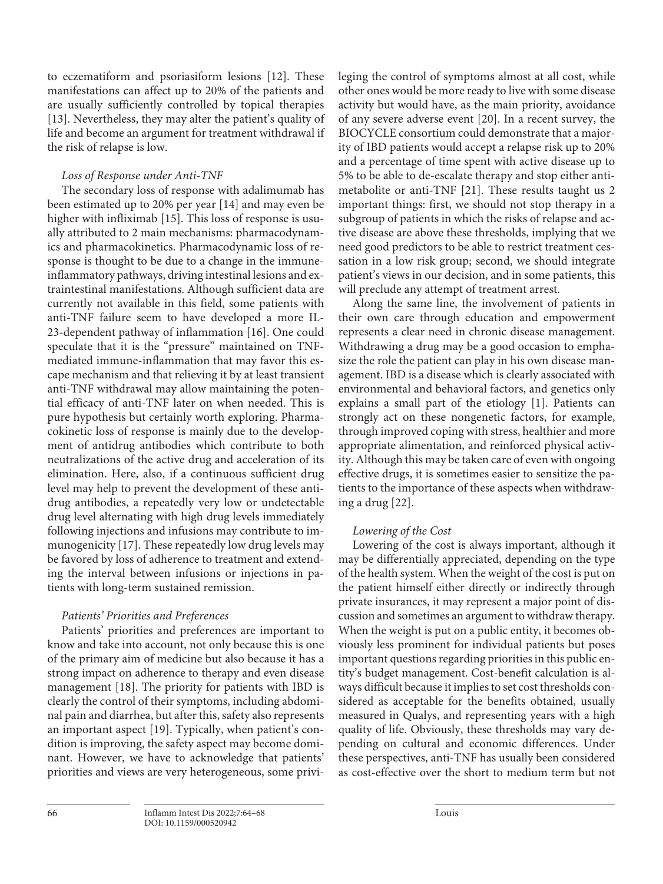<span id="page-2-1"></span><span id="page-2-0"></span>to eczematiform and psoriasiform lesions [\[1](#page-3-0)[2](#page-3-1)]. These manifestations can affect up to 20% of the patients and are usually sufficiently controlled by topical therapies [\[1](#page-3-0)[3\]](#page-3-2). Nevertheless, they may alter the patient's quality of life and become an argument for treatment withdrawal if the risk of relapse is low.

# *Loss of Response under Anti-TNF*

<span id="page-2-4"></span><span id="page-2-3"></span><span id="page-2-2"></span>The secondary loss of response with adalimumab has been estimated up to 20% per year [\[1](#page-3-0)[4\]](#page-3-3) and may even be higher with infliximab [\[1](#page-3-0)[5\]](#page-3-4). This loss of response is usually attributed to 2 main mechanisms: pharmacodynamics and pharmacokinetics. Pharmacodynamic loss of response is thought to be due to a change in the immuneinflammatory pathways, driving intestinal lesions and extraintestinal manifestations. Although sufficient data are currently not available in this field, some patients with anti-TNF failure seem to have developed a more IL-23-dependent pathway of inflammation [\[1](#page-3-0)[6\]](#page-3-5). One could speculate that it is the "pressure" maintained on TNFmediated immune-inflammation that may favor this escape mechanism and that relieving it by at least transient anti-TNF withdrawal may allow maintaining the potential efficacy of anti-TNF later on when needed. This is pure hypothesis but certainly worth exploring. Pharmacokinetic loss of response is mainly due to the development of antidrug antibodies which contribute to both neutralizations of the active drug and acceleration of its elimination. Here, also, if a continuous sufficient drug level may help to prevent the development of these antidrug antibodies, a repeatedly very low or undetectable drug level alternating with high drug levels immediately following injections and infusions may contribute to immunogenicity [[1](#page-3-0)[7](#page-3-6)]. These repeatedly low drug levels may be favored by loss of adherence to treatment and extending the interval between infusions or injections in patients with long-term sustained remission.

# *Patients' Priorities and Preferences*

Patients' priorities and preferences are important to know and take into account, not only because this is one of the primary aim of medicine but also because it has a strong impact on adherence to therapy and even disease management [\[1](#page-3-0)[8\]](#page-3-7). The priority for patients with IBD is clearly the control of their symptoms, including abdominal pain and diarrhea, but after this, safety also represents an important aspect [\[1](#page-3-0)[9\]](#page-3-8). Typically, when patient's condition is improving, the safety aspect may become dominant. However, we have to acknowledge that patients' priorities and views are very heterogeneous, some privileging the control of symptoms almost at all cost, while other ones would be more ready to live with some disease activity but would have, as the main priority, avoidance of any severe adverse event [[20](#page-3-1)]. In a recent survey, the BIOCYCLE consortium could demonstrate that a majority of IBD patients would accept a relapse risk up to 20% and a percentage of time spent with active disease up to 5% to be able to de-escalate therapy and stop either antimetabolite or anti-TNF [[2](#page-3-1)[1](#page-3-0)]. These results taught us 2 important things: first, we should not stop therapy in a subgroup of patients in which the risks of relapse and active disease are above these thresholds, implying that we need good predictors to be able to restrict treatment cessation in a low risk group; second, we should integrate patient's views in our decision, and in some patients, this will preclude any attempt of treatment arrest.

Along the same line, the involvement of patients in their own care through education and empowerment represents a clear need in chronic disease management. Withdrawing a drug may be a good occasion to emphasize the role the patient can play in his own disease management. IBD is a disease which is clearly associated with environmental and behavioral factors, and genetics only explains a small part of the etiology [[1](#page-3-0)]. Patients can strongly act on these nongenetic factors, for example, through improved coping with stress, healthier and more appropriate alimentation, and reinforced physical activity. Although this may be taken care of even with ongoing effective drugs, it is sometimes easier to sensitize the patients to the importance of these aspects when withdrawing a drug [\[22\]](#page-3-1).

# *Lowering of the Cost*

Lowering of the cost is always important, although it may be differentially appreciated, depending on the type of the health system. When the weight of the cost is put on the patient himself either directly or indirectly through private insurances, it may represent a major point of discussion and sometimes an argument to withdraw therapy. When the weight is put on a public entity, it becomes obviously less prominent for individual patients but poses important questions regarding priorities in this public entity's budget management. Cost-benefit calculation is always difficult because it implies to set cost thresholds considered as acceptable for the benefits obtained, usually measured in Qualys, and representing years with a high quality of life. Obviously, these thresholds may vary depending on cultural and economic differences. Under these perspectives, anti-TNF has usually been considered as cost-effective over the short to medium term but not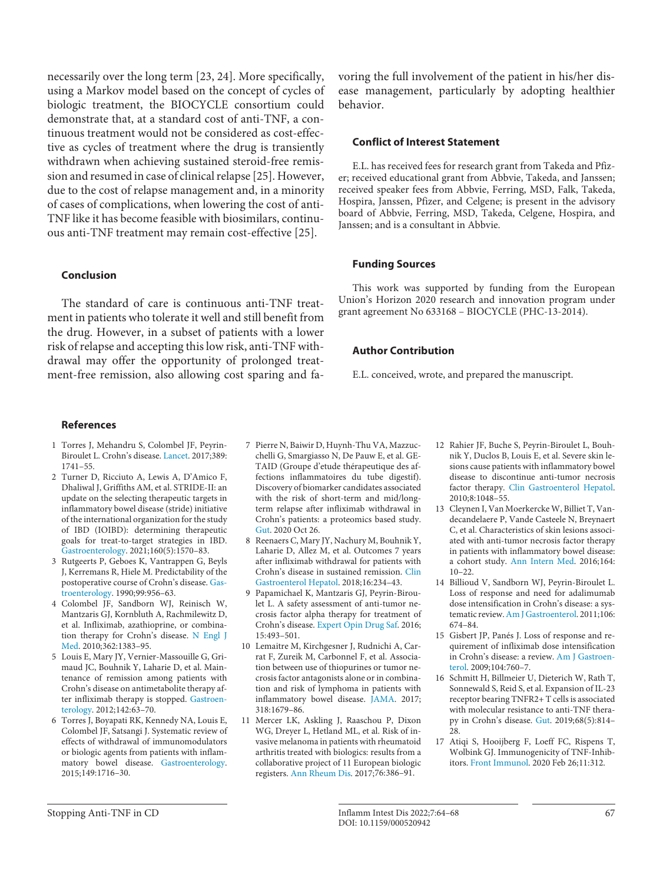necessarily over the long term [[2](#page-3-1)[3](#page-3-2), [2](#page-3-1)[4\]](#page-3-3). More specifically, using a Markov model based on the concept of cycles of biologic treatment, the BIOCYCLE consortium could demonstrate that, at a standard cost of anti-TNF, a continuous treatment would not be considered as cost-effective as cycles of treatment where the drug is transiently withdrawn when achieving sustained steroid-free remission and resumed in case of clinical relapse [[2](#page-3-1)[5](#page-3-4)]. However, due to the cost of relapse management and, in a minority of cases of complications, when lowering the cost of anti-TNF like it has become feasible with biosimilars, continuous anti-TNF treatment may remain cost-effective [\[2](#page-3-1)[5\]](#page-3-4).

## **Conclusion**

The standard of care is continuous anti-TNF treatment in patients who tolerate it well and still benefit from the drug. However, in a subset of patients with a lower risk of relapse and accepting this low risk, anti-TNF withdrawal may offer the opportunity of prolonged treatment-free remission, also allowing cost sparing and favoring the full involvement of the patient in his/her disease management, particularly by adopting healthier behavior.

#### **Conflict of Interest Statement**

E.L. has received fees for research grant from Takeda and Pfizer; received educational grant from Abbvie, Takeda, and Janssen; received speaker fees from Abbvie, Ferring, MSD, Falk, Takeda, Hospira, Janssen, Pfizer, and Celgene; is present in the advisory board of Abbvie, Ferring, MSD, Takeda, Celgene, Hospira, and Janssen; and is a consultant in Abbvie.

#### **Funding Sources**

This work was supported by funding from the European Union's Horizon 2020 research and innovation program under grant agreement No 633168 – BIOCYCLE (PHC-13-2014).

#### **Author Contribution**

E.L. conceived, wrote, and prepared the manuscript.

#### **References**

- <span id="page-3-0"></span>[1](#page-0-0) Torres J, Mehandru S, Colombel JF, Peyrin-Biroulet L. Crohn's disease. [Lancet.](https://www.karger.com/Article/FullText/520942?ref=1#ref1) 2017;389: 1741–55.
- <span id="page-3-1"></span>[2](#page-0-1) Turner D, Ricciuto A, Lewis A, D'Amico F, Dhaliwal J, Griffiths AM, et al. STRIDE-II: an update on the selecting therapeutic targets in inflammatory bowel disease (stride) initiative of the international organization for the study of IBD (IOIBD): determining therapeutic goals for treat-to-target strategies in IBD. [Gastroenterology.](https://www.karger.com/Article/FullText/520942?ref=2#ref2) 2021;160(5):1570–83.
- <span id="page-3-2"></span>[3](#page-1-0) Rutgeerts P, Geboes K, Vantrappen G, Beyls J, Kerremans R, Hiele M. Predictability of the postoperative course of Crohn's disease. [Gas](https://www.karger.com/Article/FullText/520942?ref=3#ref3)[troenterology](https://www.karger.com/Article/FullText/520942?ref=3#ref3). 1990;99:956–63.
- <span id="page-3-3"></span>[4](#page-1-1) Colombel JF, Sandborn WJ, Reinisch W, Mantzaris GJ, Kornbluth A, Rachmilewitz D, et al. Infliximab, azathioprine, or combination therapy for Crohn's disease. [N Engl J](https://www.karger.com/Article/FullText/520942?ref=4#ref4) [Med](https://www.karger.com/Article/FullText/520942?ref=4#ref4). 2010;362:1383–95.
- <span id="page-3-4"></span>[5](#page-1-2) Louis E, Mary JY, Vernier-Massouille G, Grimaud JC, Bouhnik Y, Laharie D, et al. Maintenance of remission among patients with Crohn's disease on antimetabolite therapy after infliximab therapy is stopped. [Gastroen](https://www.karger.com/Article/FullText/520942?ref=5#ref5)[terology.](https://www.karger.com/Article/FullText/520942?ref=5#ref5) 2012;142:63–70.
- <span id="page-3-5"></span>[6](#page-1-2) Torres J, Boyapati RK, Kennedy NA, Louis E, Colombel JF, Satsangi J. Systematic review of effects of withdrawal of immunomodulators or biologic agents from patients with inflammatory bowel disease. [Gastroenterology](https://www.karger.com/Article/FullText/520942?ref=6#ref6). 2015;149:1716–30.
- <span id="page-3-6"></span>[7](#page-1-3) Pierre N, Baiwir D, Huynh-Thu VA, Mazzucchelli G, Smargiasso N, De Pauw E, et al. GE-TAID (Groupe d'etude thérapeutique des affections inflammatoires du tube digestif). Discovery of biomarker candidates associated with the risk of short-term and mid/longterm relapse after infliximab withdrawal in Crohn's patients: a proteomics based study. [Gut](https://www.karger.com/Article/FullText/520942?ref=7#ref7). 2020 Oct 26.
- <span id="page-3-7"></span>[8](#page-1-4) Reenaers C, Mary JY, Nachury M, Bouhnik Y, Laharie D, Allez M, et al. Outcomes 7 years after infliximab withdrawal for patients with Crohn's disease in sustained remission. [Clin](https://www.karger.com/Article/FullText/520942?ref=8#ref8) [Gastroenterol Hepatol.](https://www.karger.com/Article/FullText/520942?ref=8#ref8) 2018;16:234–43.
- <span id="page-3-8"></span>[9](#page-1-5) Papamichael K, Mantzaris GJ, Peyrin-Biroulet L. A safety assessment of anti-tumor necrosis factor alpha therapy for treatment of Crohn's disease. [Expert Opin Drug Saf.](https://www.karger.com/Article/FullText/520942?ref=9#ref9) 2016; 15:493–501.
- [10](#page-1-6) Lemaitre M, Kirchgesner J, Rudnichi A, Carrat F, Zureik M, Carbonnel F, et al. Association between use of thiopurines or tumor necrosis factor antagonists alone or in combination and risk of lymphoma in patients with inflammatory bowel disease. [JAMA](https://www.karger.com/Article/FullText/520942?ref=10#ref10). 2017; 318:1679–86.
- [11](#page-1-6) Mercer LK, Askling J, Raaschou P, Dixon WG, Dreyer L, Hetland ML, et al. Risk of invasive melanoma in patients with rheumatoid arthritis treated with biologics: results from a collaborative project of 11 European biologic registers. [Ann Rheum Dis](https://www.karger.com/Article/FullText/520942?ref=11#ref11). 2017;76:386–91.
- [12](#page-2-0) Rahier JF, Buche S, Peyrin-Biroulet L, Bouhnik Y, Duclos B, Louis E, et al. Severe skin lesions cause patients with inflammatory bowel disease to discontinue anti-tumor necrosis factor therapy. [Clin Gastroenterol Hepatol.](https://www.karger.com/Article/FullText/520942?ref=12#ref12) 2010;8:1048–55.
- [13](#page-2-1) Cleynen I, Van Moerkercke W, Billiet T, Vandecandelaere P, Vande Casteele N, Breynaert C, et al. Characteristics of skin lesions associated with anti-tumor necrosis factor therapy in patients with inflammatory bowel disease: a cohort study. [Ann Intern Med.](https://www.karger.com/Article/FullText/520942?ref=13#ref13) 2016;164: 10–22.
- [14](#page-2-2) Billioud V, Sandborn WJ, Peyrin-Biroulet L. Loss of response and need for adalimumab dose intensification in Crohn's disease: a systematic review. [Am J Gastroenterol](https://www.karger.com/Article/FullText/520942?ref=14#ref14). 2011;106: 674–84.
- [15](#page-2-3) Gisbert JP, Panés J. Loss of response and requirement of infliximab dose intensification in Crohn's disease: a review. [Am J Gastroen](https://www.karger.com/Article/FullText/520942?ref=15#ref15)[terol](https://www.karger.com/Article/FullText/520942?ref=15#ref15). 2009;104:760–7.
- [16](#page-2-4) Schmitt H, Billmeier U, Dieterich W, Rath T, Sonnewald S, Reid S, et al. Expansion of IL-23 receptor bearing TNFR2+ T cells is associated with molecular resistance to anti-TNF therapy in Crohn's disease. [Gut](https://www.karger.com/Article/FullText/520942?ref=16#ref16). 2019;68(5):814– 28.
- 17 Atiqi S, Hooijberg F, Loeff FC, Rispens T, Wolbink GJ. Immunogenicity of TNF-Inhibitors. [Front Immunol.](https://www.karger.com/Article/FullText/520942?ref=17#ref17) 2020 Feb 26;11:312.